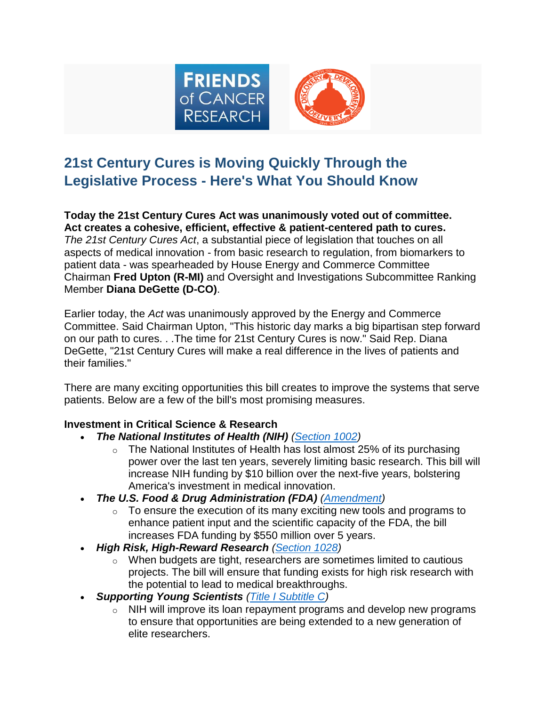

## **21st Century Cures is Moving Quickly Through the Legislative Process - Here's What You Should Know**

**Today the 21st Century Cures Act was unanimously voted out of committee. Act creates a cohesive, efficient, effective & patient-centered path to cures.** *The 21st Century Cures Act*, a substantial piece of legislation that touches on all aspects of medical innovation - from basic research to regulation, from biomarkers to patient data - was spearheaded by House Energy and Commerce Committee Chairman **Fred Upton (R-MI)** and Oversight and Investigations Subcommittee Ranking Member **Diana DeGette (D-CO)**.

Earlier today, the *Act* was unanimously approved by the Energy and Commerce Committee. Said Chairman Upton, "This historic day marks a big bipartisan step forward on our path to cures. . .The time for 21st Century Cures is now." Said Rep. Diana DeGette, "21st Century Cures will make a real difference in the lives of patients and their families."

There are many exciting opportunities this bill creates to improve the systems that serve patients. Below are a few of the bill's most promising measures.

## **Investment in Critical Science & Research**

- *The National Institutes of Health (NIH) [\(Section 1002\)](http://focr.org/sites/default/files/National%20Institutes%20of%20Health%20Funding.pdf)*
	- $\circ$  The National Institutes of Health has lost almost 25% of its purchasing power over the last ten years, severely limiting basic research. This bill will increase NIH funding by \$10 billion over the next-five years, bolstering America's investment in medical innovation.
- *The U.S. Food & Drug Administration (FDA) [\(Amendment\)](http://focr.org/sites/default/files/FDA%20Funding.pdf)*
	- $\circ$  To ensure the execution of its many exciting new tools and programs to enhance patient input and the scientific capacity of the FDA, the bill increases FDA funding by \$550 million over 5 years.
- *High Risk, High-Reward Research [\(Section 1028\)](http://focr.org/sites/default/files/High%20Risk%2C%20High%20Reward%20Research.pdf)*
	- o When budgets are tight, researchers are sometimes limited to cautious projects. The bill will ensure that funding exists for high risk research with the potential to lead to medical breakthroughs.
- *Supporting Young Scientists [\(Title I Subtitle C\)](http://focr.org/sites/default/files/Supporting%20Young%20Scientists.pdf)*
	- $\circ$  NIH will improve its loan repayment programs and develop new programs to ensure that opportunities are being extended to a new generation of elite researchers.